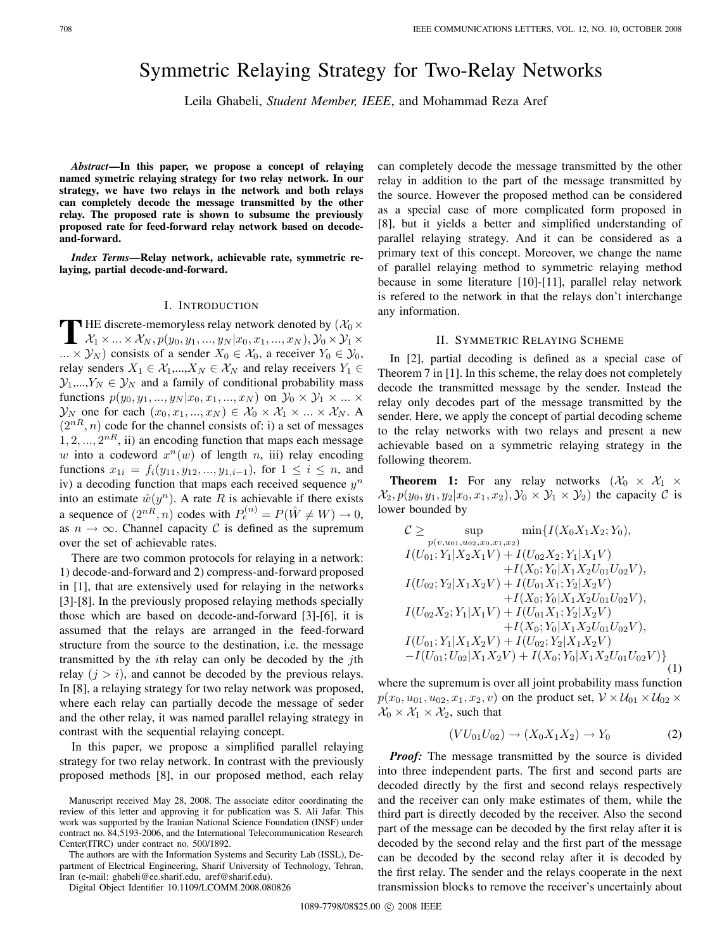# Symmetric Relaying Strategy for Two-Relay Networks

Leila Ghabeli, *Student Member, IEEE*, and Mohammad Reza Aref

*Abstract***—In this paper, we propose a concept of relaying named symetric relaying strategy for two relay network. In our strategy, we have two relays in the network and both relays can completely decode the message transmitted by the other relay. The proposed rate is shown to subsume the previously proposed rate for feed-forward relay network based on decodeand-forward.**

*Index Terms***—Relay network, achievable rate, symmetric relaying, partial decode-and-forward.**

#### I. INTRODUCTION

**T** HE discrete-memoryless relay network denoted by  $(\mathcal{X}_0 \times \mathcal{X}_0)$  $\Box$   $\mathcal{X}_1 \times ... \times \mathcal{X}_N$  *, p*( $y_0, y_1, ..., y_N | x_0, x_1, ..., x_N$ )*,*  $\mathcal{Y}_0 \times \mathcal{Y}_1 \times$ *...*  $\times$   $\mathcal{Y}_N$ ) consists of a sender  $X_0$  ∈  $\mathcal{X}_0$ , a receiver  $Y_0$  ∈  $\mathcal{Y}_0$ , relay senders  $X_1 \in \mathcal{X}_1, ..., X_N \in \mathcal{X}_N$  and relay receivers  $Y_1 \in$  $\mathcal{Y}_1,...,Y_N \in \mathcal{Y}_N$  and a family of conditional probability mass functions  $p(y_0, y_1, ..., y_N | x_0, x_1, ..., x_N)$  on  $\mathcal{Y}_0 \times \mathcal{Y}_1 \times ... \times$  $\mathcal{Y}_N$  one for each  $(x_0, x_1, ..., x_N) \in \mathcal{X}_0 \times \mathcal{X}_1 \times ... \times \mathcal{X}_N$ . A  $(2^{nR}, n)$  code for the channel consists of: i) a set of messages  $1, 2, \ldots, 2^{nR}$ , ii) an encoding function that maps each message *w* into a codeword  $x^n(w)$  of length *n*, iii) relay encoding functions  $x_{1i} = f_i(y_{11}, y_{12}, ..., y_{1,i-1})$ , for  $1 \leq i \leq n$ , and iv) a decoding function that maps each received sequence *y*<sup>n</sup> into an estimate  $\hat{w}(y^n)$ . A rate *R* is achievable if there exists a sequence of  $(2^{nR}, n)$  codes with  $P_e^{(n)} = P(\hat{W} \neq W) \rightarrow 0$ , as  $n \to \infty$ . Channel capacity C is defined as the supremum over the set of achievable rates.

There are two common protocols for relaying in a network: 1) decode-and-forward and 2) compress-and-forward proposed in [1], that are extensively used for relaying in the networks [3]-[8]. In the previously proposed relaying methods specially those which are based on decode-and-forward [3]-[6], it is assumed that the relays are arranged in the feed-forward structure from the source to the destination, i.e. the message transmitted by the *i*th relay can only be decoded by the *j*th relay  $(j>i)$ , and cannot be decoded by the previous relays. In [8], a relaying strategy for two relay network was proposed, where each relay can partially decode the message of seder and the other relay, it was named parallel relaying strategy in contrast with the sequential relaying concept.

In this paper, we propose a simplified parallel relaying strategy for two relay network. In contrast with the previously proposed methods [8], in our proposed method, each relay

The authors are with the Information Systems and Security Lab (ISSL), Department of Electrical Engineering, Sharif University of Technology, Tehran, Iran (e-mail: ghabeli@ee.sharif.edu, aref@sharif.edu).

Digital Object Identifier 10.1109/LCOMM.2008.080826

can completely decode the message transmitted by the other relay in addition to the part of the message transmitted by the source. However the proposed method can be considered as a special case of more complicated form proposed in [8], but it yields a better and simplified understanding of parallel relaying strategy. And it can be considered as a primary text of this concept. Moreover, we change the name of parallel relaying method to symmetric relaying method because in some literature [10]-[11], parallel relay network is refered to the network in that the relays don't interchange any information.

# II. SYMMETRIC RELAYING SCHEME

In [2], partial decoding is defined as a special case of Theorem 7 in [1]. In this scheme, the relay does not completely decode the transmitted message by the sender. Instead the relay only decodes part of the message transmitted by the sender. Here, we apply the concept of partial decoding scheme to the relay networks with two relays and present a new achievable based on a symmetric relaying strategy in the following theorem.

**Theorem 1:** For any relay networks  $(\mathcal{X}_0 \times \mathcal{X}_1 \times$  $\mathcal{X}_2, p(y_0, y_1, y_2 | x_0, x_1, x_2), \mathcal{Y}_0 \times \mathcal{Y}_1 \times \mathcal{Y}_2$  the capacity C is lower bounded by

$$
C \ge \sup_{p(v,u_{01},u_{02},x_0,x_1,x_2)} \min\{I(X_0X_1X_2;Y_0),\nI(U_{01};Y_1|X_2X_1V) + I(U_{02}X_2;Y_1|X_1V)\n+I(X_0;Y_0|X_1X_2U_{01}U_{02}V),\nI(U_{02};Y_2|X_1X_2V) + I(U_{01}X_1;Y_2|X_2V)\n+I(X_0;Y_0|X_1X_2U_{01}U_{02}V),\nI(U_{02}X_2;Y_1|X_1V) + I(U_{01}X_1;Y_2|X_2V)\n+I(X_0;Y_0|X_1X_2U_{01}U_{02}V),\nI(U_{01};Y_1|X_1X_2V) + I(U_{02};Y_2|X_1X_2V)\n-I(U_{01};U_{02}|X_1X_2V) + I(X_0;Y_0|X_1X_2U_{01}U_{02}V)\}
$$
\n(1)

where the supremum is over all joint probability mass function  $p(x_0, u_{01}, u_{02}, x_1, x_2, v)$  on the product set,  $\mathcal{V} \times \mathcal{U}_{01} \times \mathcal{U}_{02} \times$  $\mathcal{X}_0 \times \mathcal{X}_1 \times \mathcal{X}_2$ , such that

$$
(VU_{01}U_{02}) \to (X_0X_1X_2) \to Y_0 \tag{2}
$$

*Proof:* The message transmitted by the source is divided into three independent parts. The first and second parts are decoded directly by the first and second relays respectively and the receiver can only make estimates of them, while the third part is directly decoded by the receiver. Also the second part of the message can be decoded by the first relay after it is decoded by the second relay and the first part of the message can be decoded by the second relay after it is decoded by the first relay. The sender and the relays cooperate in the next transmission blocks to remove the receiver's uncertainly about

Manuscript received May 28, 2008. The associate editor coordinating the review of this letter and approving it for publication was S. Ali Jafar. This work was supported by the Iranian National Science Foundation (INSF) under contract no. 84,5193-2006, and the International Telecommunication Research Center(ITRC) under contract no. 500/1892.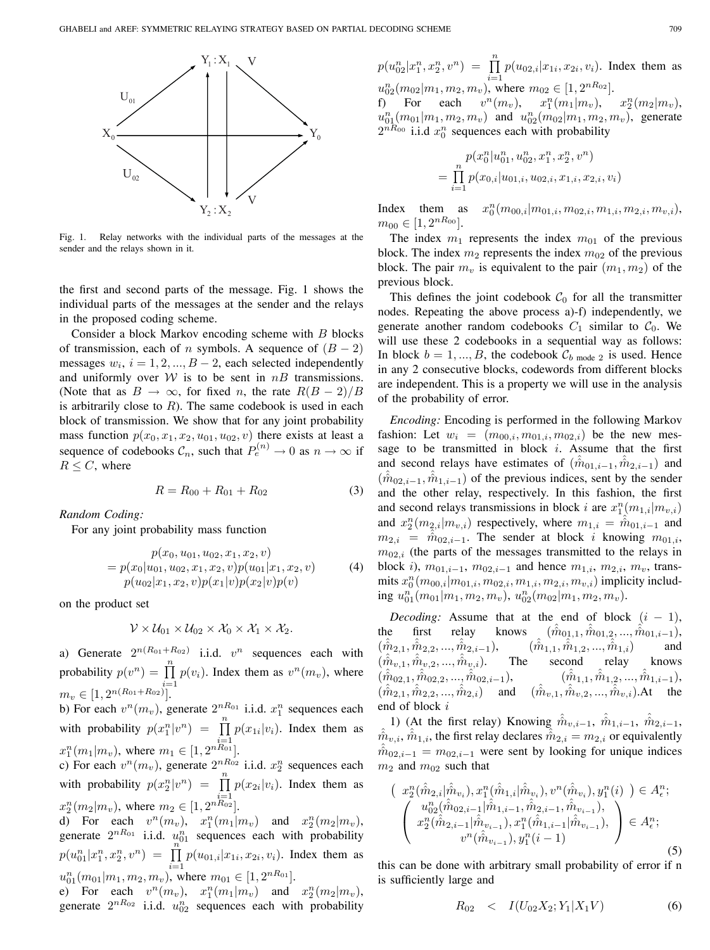

Fig. 1. Relay networks with the individual parts of the messages at the sender and the relays shown in it.

the first and second parts of the message. Fig. 1 shows the individual parts of the messages at the sender and the relays in the proposed coding scheme.

Consider a block Markov encoding scheme with *B* blocks of transmission, each of *n* symbols. A sequence of  $(B - 2)$ messages  $w_i$ ,  $i = 1, 2, ..., B - 2$ , each selected independently and uniformly over  $W$  is to be sent in  $nB$  transmissions. (Note that as  $B \to \infty$ , for fixed *n*, the rate  $R(B-2)/B$ is arbitrarily close to *R*). The same codebook is used in each block of transmission. We show that for any joint probability mass function  $p(x_0, x_1, x_2, u_{01}, u_{02}, v)$  there exists at least a sequence of codebooks  $C_n$ , such that  $P_e^{(n)} \to 0$  as  $n \to \infty$  if  $R \leq C$ , where

$$
R = R_{00} + R_{01} + R_{02} \tag{3}
$$

*Random Coding:*

For any joint probability mass function

$$
p(x_0, u_{01}, u_{02}, x_1, x_2, v)
$$
  
=  $p(x_0|u_{01}, u_{02}, x_1, x_2, v)p(u_{01}|x_1, x_2, v)$  (4)  
 $p(u_{02}|x_1, x_2, v)p(x_1|v)p(x_2|v)p(v)$ 

on the product set

$$
\mathcal{V}\times\mathcal{U}_{01}\times\mathcal{U}_{02}\times\mathcal{X}_0\times\mathcal{X}_1\times\mathcal{X}_2.
$$

a) Generate  $2^{n(R_{01}+R_{02})}$  i.i.d.  $v^n$  sequences each with probability  $p(v^n) = \prod_{i=1}^{n} p(v_i)$ . Index them as  $v^n(m_v)$ , where  $m_v \in [1, 2^{n(R_{01}+R_{02})}].$ 

b) For each  $v^n(m_v)$ , generate  $2^{nR_{01}}$  i.i.d.  $x_1^n$  sequences each with probability  $p(x_1^n|v^n) = \prod_{r=1}^n p(x_{1i}|v_i)$ . Index them as  $x_1^n(m_1|m_v)$ , where  $m_1 \in [1, 2^{nR_{01}}]$ .

c) For each  $v^n(m_v)$ , generate  $2^{nR_{02}}$  i.i.d.  $x_2^n$  sequences each with probability  $p(x_2^n|v^n) = \prod_{i=1}^n p(x_{2i}|v_i)$ . Index them as  $x_2^n(m_2|m_v)$ , where  $m_2 \in [1, 2^{nR_{02}}]$ .

d) For each  $v^n(m_v)$ ,  $x_1^n(m_1|m_v)$  and  $x_2^n(m_2|m_v)$ , generate  $2^{nR_{01}}$  i.i.d.  $u_{01}^n$  sequences each with probability  $p(u_{01}^n|x_1^n, x_2^n, v^n) = \prod_{i=1}^n$  $\prod_{i=1} p(u_{01,i}|x_{1i}, x_{2i}, v_i)$ . Index them as  $u_{01}^n(m_{01}|m_1, m_2, m_v)$ , where  $m_{01} \in [1, 2^{nR_{01}}]$ .

e) For each  $v^n(m_v)$ ,  $x_1^n(m_1|m_v)$  and  $x_2^n(m_2|m_v)$ , generate  $2^{nR_{02}}$  i.i.d.  $u_{02}^n$  sequences each with probability  $p(u_{02}^n|x_1^n, x_2^n, v^n) = \prod_{i=1}^n$  $\prod_{i=1} p(u_{02,i}|x_{1i}, x_{2i}, v_i)$ . Index them as

 $u_{02}^n(m_{02}|m_1, m_2, m_v)$ , where  $m_{02} \in [1, 2^{nR_{02}}]$ . f) For each  $v^n(m_v)$ ,  $x_1^n(m_1|m_v)$ ,  $x_2^n$  $x_2^n(m_2|m_v),$  $u_{01}^n(m_{01}|m_1, m_2, m_v)$  and  $u_{02}^n(m_{02}|m_1, m_2, m_v)$ , generate  $2^{nR_{00}}$  i.i.d  $x_0^n$  sequences each with probability

$$
p(x_0^n|u_{01}^n, u_{02}^n, x_1^n, x_2^n, v^n)
$$
  
= 
$$
\prod_{i=1}^n p(x_{0,i}|u_{01,i}, u_{02,i}, x_{1,i}, x_{2,i}, v_i)
$$

Index them as  $x_0^n(m_{00,i}|m_{01,i}, m_{02,i}, m_{1,i}, m_{2,i}, m_{v,i}),$  $m_{00} \in [1, 2^{nR_{00}}].$ 

The index  $m_1$  represents the index  $m_{01}$  of the previous block. The index  $m_2$  represents the index  $m_{02}$  of the previous block. The pair  $m_v$  is equivalent to the pair  $(m_1, m_2)$  of the previous block.

This defines the joint codebook  $C_0$  for all the transmitter nodes. Repeating the above process a)-f) independently, we generate another random codebooks  $C_1$  similar to  $C_0$ . We will use these 2 codebooks in a sequential way as follows: In block  $b = 1, ..., B$ , the codebook  $\mathcal{C}_{b \text{ mode } 2}$  is used. Hence in any 2 consecutive blocks, codewords from different blocks are independent. This is a property we will use in the analysis of the probability of error.

*Encoding:* Encoding is performed in the following Markov fashion: Let  $w_i = (m_{00,i}, m_{01,i}, m_{02,i})$  be the new message to be transmitted in block *i*. Assume that the first and second relays have estimates of  $(\hat{m}_{01,i-1}, \hat{m}_{2,i-1})$  and  $(\hat{m}_{02,i-1}, \hat{m}_{1,i-1})$  of the previous indices, sent by the sender and the other relay, respectively. In this fashion, the first and second relays transmissions in block *i* are  $x_1^n(m_{1,i}|m_{v,i})$ and  $x_2^n(m_{2,i}|m_{v,i})$  respectively, where  $m_{1,i} = \hat{\hat{m}}_{01,i-1}$  and  $m_{2,i}$  =  $\hat{m}_{02,i-1}$ . The sender at block *i* knowing  $m_{01,i}$ ,  $m_{02,i}$  (the parts of the messages transmitted to the relays in block *i*),  $m_{01,i-1}$ ,  $m_{02,i-1}$  and hence  $m_{1,i}$ ,  $m_{2,i}$ ,  $m_v$ , trans $m$ its  $x_0^n(m_{00,i}|m_{01,i}, m_{02,i}, m_{1,i}, m_{2,i}, m_{v,i})$  implicity includ- $\lim_{m \to \infty} u_{01}^n(m_{01}|m_1, m_2, m_v), u_{02}^n(m_{02}|m_1, m_2, m_v).$ 

*Decoding:* Assume that at the end of block  $(i - 1)$ , the first relay knows  $(\hat{m}_{0,1,1}, \hat{m}_{0,1,2}, ..., \hat{m}_{0,1,i-1}),$  $(\hat{\hat{m}}_{2,1}, \hat{\hat{m}}_{2,2}, ..., \hat{\hat{m}}_{2,i-1}),$  ( $\hat{\hat{m}}$  $\hat{\hat{m}}_{1,1}, \hat{\hat{m}}_{1,2}, ..., \hat{\hat{m}}_{1,i}$  and  $(\hat{\hat{m}}_{\boldsymbol{v},1}, \hat{\hat{m}}_{\boldsymbol{v},2},...,\hat{\hat{m}})$ The second relay knows  $(\hat{\hat{m}}_{02,1}, \hat{\hat{m}}_{02,2}, ..., \hat{\hat{m}}_{02,i-1}), \hspace{1cm} (\hat{\hat{m}}_{1,1}, \hat{\hat{m}}_{1,2}, ..., \hat{\hat{m}}_{1,i-1}),$  $(\hat{m}_{2,1}, \hat{m}_{2,2}, ..., \hat{m}_{2,i})$  and  $(\hat{m}_{v,1}, \hat{m}_{v,2}, ..., \hat{m}_{v,i})$ .At the end of block *i*

1) (At the first relay) Knowing  $\hat{m}_{v,i-1}$ ,  $\hat{m}_{1,i-1}$ ,  $\hat{m}_{2,i-1}$ ,  $\hat{m}_{2,i-1}$ ,  $\hat{m}_{2,i-1}$ ,  $\hat{m}_{2,i}$ , the first relay declares  $\hat{m}_{2,i} = m_{2,i}$  or equivalently  $\hat{m}_{v,i}, \hat{m}_{1,i}$ , the first relay declares  $\hat{m}_{2,i} = m_{2,i}$  or equivalently  $\hat{m}_{0,2,i-1} = m_{0,2,i-1}$  were sent by looking for unique indices  $\hat{m}_{02,i-1} = m_{02,i-1}$  were sent by looking for unique indices  $m_2$  and  $m_{02}$  such that

$$
\begin{pmatrix} x_2^n(\hat{m}_{2,i}|\hat{m}_{v_i}), x_1^n(\hat{m}_{1,i}|\hat{m}_{v_i}), v^n(\hat{m}_{v_i}), y_1^n(i) \end{pmatrix} \in A_{\epsilon}^n; \n\begin{pmatrix} u_{02}^n(\hat{m}_{02,i-1}|\hat{m}_{1,i-1}, \hat{m}_{2,i-1}, \hat{m}_{v_{i-1}}), \\ x_2^n(\hat{m}_{2,i-1}|\hat{m}_{v_{i-1}}), x_1^n(\hat{m}_{1,i-1}|\hat{m}_{v_{i-1}}), \\ v^n(\hat{m}_{v_{i-1}}), y_1^n(i-1) \end{pmatrix} \in A_{\epsilon}^n; \n(5)
$$

this can be done with arbitrary small probability of error if n is sufficiently large and

$$
R_{02} < I(U_{02}X_2; Y_1|X_1V) \tag{6}
$$